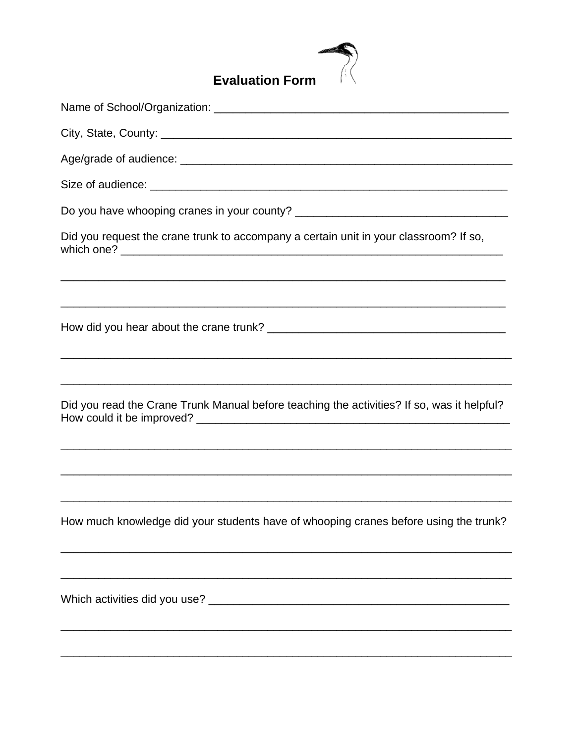

| Did you request the crane trunk to accompany a certain unit in your classroom? If so,      |
|--------------------------------------------------------------------------------------------|
|                                                                                            |
|                                                                                            |
| Did you read the Crane Trunk Manual before teaching the activities? If so, was it helpful? |
| How much knowledge did your students have of whooping cranes before using the trunk?       |
|                                                                                            |
|                                                                                            |
|                                                                                            |